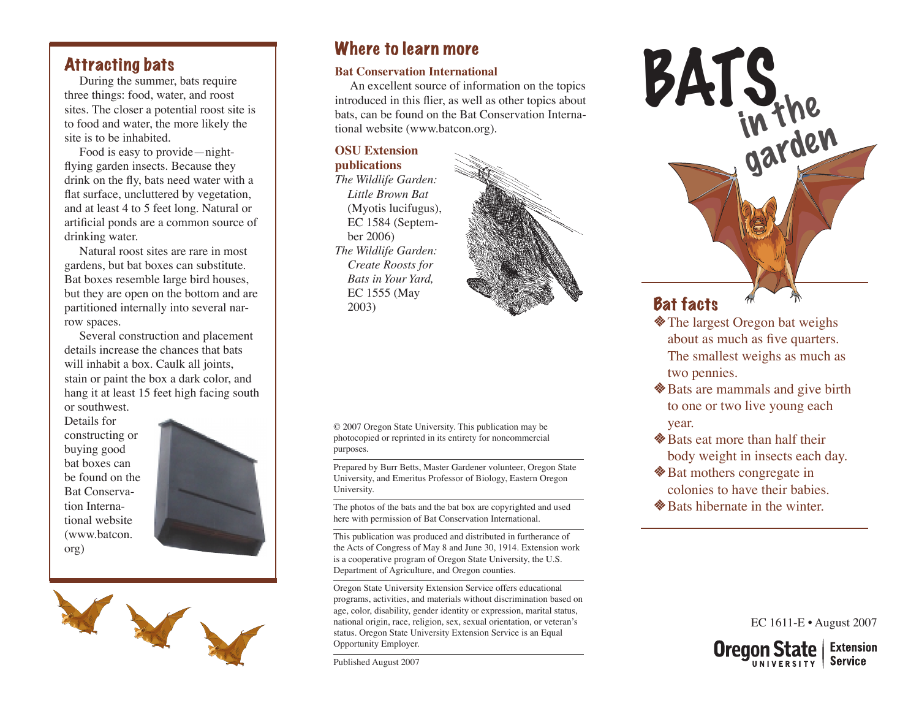#### Attracting bats

During the summer, bats require three things: food, water, and roost sites. The closer a potential roost site is to food and water, the more likely the site is to be inhabited.

Food is easy to provide—nightflying garden insects. Because they drink on the fly, bats need water with a flat surface, uncluttered by vegetation, and at least 4 to 5 feet long. Natural or artificial ponds are a common source of drinking water.

Natural roost sites are rare in most gardens, but bat boxes can substitute. Bat boxes resemble large bird houses, but they are open on the bottom and are partitioned internally into several narrow spaces.

Several construction and placement details increase the chances that bats will inhabit a box. Caulk all joints, stain or paint the box a dark color, and hang it at least 15 feet high facing south or southwest.

Details for constructing or buying good bat boxes can be found on the Bat Conservation International website (www.batcon. org)





### Where to learn more

#### **Bat Conservation International**

An excellent source of information on the topics introduced in this flier, as well as other topics about bats, can be found on the Bat Conservation International website (www.batcon.org).

#### **OSU Extension publications**

*The Wildlife Garden: Little Brown Bat* (Myotis lucifugus), EC 1584 (September 2006) *The Wildlife Garden: Create Roosts for Bats in Your Yard,* EC 1555 (May 2003)



© 2007 Oregon State University. This publication may be photocopied or reprinted in its entirety for noncommercial purposes.

Prepared by Burr Betts, Master Gardener volunteer, Oregon State University, and Emeritus Professor of Biology, Eastern Oregon University.

The photos of the bats and the bat box are copyrighted and used here with permission of Bat Conservation International.

This publication was produced and distributed in furtherance of the Acts of Congress of May 8 and June 30, 1914. Extension work is a cooperative program of Oregon State University, the U.S. Department of Agriculture, and Oregon counties.

Oregon State University Extension Service offers educational programs, activities, and materials without discrimination based on age, color, disability, gender identity or expression, marital status, national origin, race, religion, sex, sexual orientation, or veteran's status. Oregon State University Extension Service is an Equal Opportunity Employer.

Published August 2007



- The largest Oregon bat weighs about as much as five quarters. The smallest weighs as much as two pennies.
- **◆ Bats are mammals and give birth** to one or two live young each year.
- $\triangle$  Bats eat more than half their body weight in insects each day.
- **◆ Bat mothers congregate in** colonies to have their babies.
- $\triangle$  Bats hibernate in the winter.

EC 1611-E • August 2007